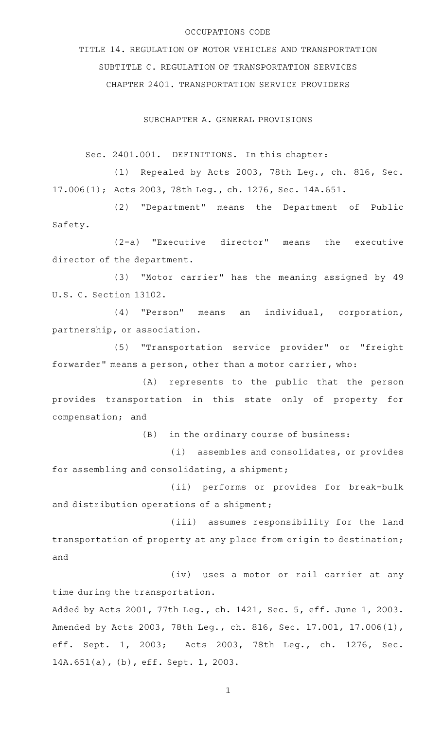## OCCUPATIONS CODE

TITLE 14. REGULATION OF MOTOR VEHICLES AND TRANSPORTATION SUBTITLE C. REGULATION OF TRANSPORTATION SERVICES CHAPTER 2401. TRANSPORTATION SERVICE PROVIDERS

SUBCHAPTER A. GENERAL PROVISIONS

Sec. 2401.001. DEFINITIONS. In this chapter:

(1) Repealed by Acts 2003, 78th Leg., ch. 816, Sec. 17.006(1); Acts 2003, 78th Leg., ch. 1276, Sec. 14A.651.

(2) "Department" means the Department of Public Safety.

 $(2-a)$  "Executive director" means the executive director of the department.

(3) "Motor carrier" has the meaning assigned by 49 U.S. C. Section 13102.

(4) "Person" means an individual, corporation, partnership, or association.

(5) "Transportation service provider" or "freight forwarder" means a person, other than a motor carrier, who:

(A) represents to the public that the person provides transportation in this state only of property for compensation; and

 $(B)$  in the ordinary course of business:

(i) assembles and consolidates, or provides for assembling and consolidating, a shipment;

(ii) performs or provides for break-bulk and distribution operations of a shipment;

(iii) assumes responsibility for the land transportation of property at any place from origin to destination; and

(iv) uses a motor or rail carrier at any time during the transportation.

Added by Acts 2001, 77th Leg., ch. 1421, Sec. 5, eff. June 1, 2003. Amended by Acts 2003, 78th Leg., ch. 816, Sec. 17.001, 17.006(1), eff. Sept. 1, 2003; Acts 2003, 78th Leg., ch. 1276, Sec. 14A.651(a), (b), eff. Sept. 1, 2003.

1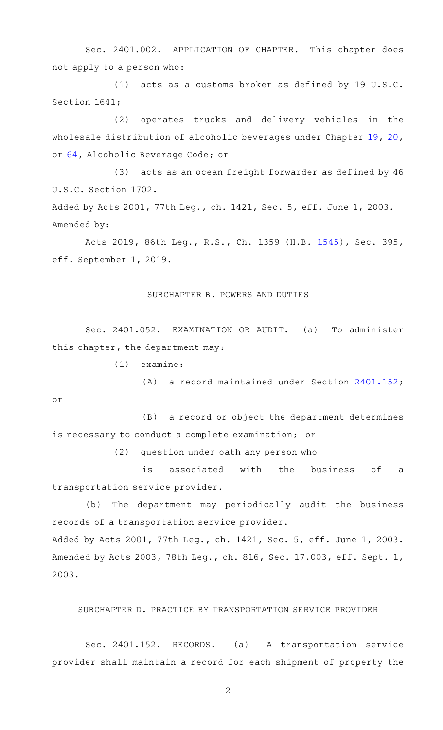Sec. 2401.002. APPLICATION OF CHAPTER. This chapter does not apply to a person who:

(1) acts as a customs broker as defined by  $19 \text{ U.S.C.}$ Section 1641;

(2) operates trucks and delivery vehicles in the wholesale distribution of alcoholic beverages under Chapter [19,](http://www.statutes.legis.state.tx.us/GetStatute.aspx?Code=AL&Value=19) [20](http://www.statutes.legis.state.tx.us/GetStatute.aspx?Code=AL&Value=20), or [64](http://www.statutes.legis.state.tx.us/GetStatute.aspx?Code=AL&Value=64), Alcoholic Beverage Code; or

(3) acts as an ocean freight forwarder as defined by 46 U.S.C. Section 1702.

Added by Acts 2001, 77th Leg., ch. 1421, Sec. 5, eff. June 1, 2003. Amended by:

Acts 2019, 86th Leg., R.S., Ch. 1359 (H.B. [1545](http://www.legis.state.tx.us/tlodocs/86R/billtext/html/HB01545F.HTM)), Sec. 395, eff. September 1, 2019.

## SUBCHAPTER B. POWERS AND DUTIES

Sec. 2401.052. EXAMINATION OR AUDIT. (a) To administer this chapter, the department may:

 $(1)$  examine:

or

(A) a record maintained under Section [2401.152](http://www.statutes.legis.state.tx.us/GetStatute.aspx?Code=OC&Value=2401.152);

(B) a record or object the department determines is necessary to conduct a complete examination; or

 $(2)$  question under oath any person who

is associated with the business of a transportation service provider.

(b) The department may periodically audit the business records of a transportation service provider.

Added by Acts 2001, 77th Leg., ch. 1421, Sec. 5, eff. June 1, 2003. Amended by Acts 2003, 78th Leg., ch. 816, Sec. 17.003, eff. Sept. 1, 2003.

## SUBCHAPTER D. PRACTICE BY TRANSPORTATION SERVICE PROVIDER

Sec. 2401.152. RECORDS. (a) A transportation service provider shall maintain a record for each shipment of property the

2